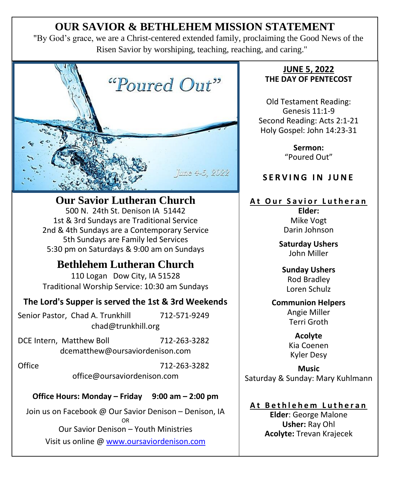# **OUR SAVIOR & BETHLEHEM MISSION STATEMENT**

"By God's grace, we are a Christ-centered extended family, proclaiming the Good News of the Risen Savior by worshiping, teaching, reaching, and caring."



**Our Savior Lutheran Church**

500 N. 24th St. Denison IA 51442 1st & 3rd Sundays are Traditional Service 2nd & 4th Sundays are a Contemporary Service 5th Sundays are Family led Services 5:30 pm on Saturdays & 9:00 am on Sundays

## **Bethlehem Lutheran Church**

110 Logan Dow City, IA 51528 Traditional Worship Service: 10:30 am Sundays

## **The Lord's Supper is served the 1st & 3rd Weekends**

Senior Pastor, Chad A. Trunkhill 712-571-9249 chad@trunkhill.org

DCE Intern, Matthew Boll 712-263-3282 dcematthew@oursaviordenison.com

Office 712-263-3282 office@oursaviordenison.com

## **Office Hours: Monday – Friday 9:00 am – 2:00 pm**

Join us on Facebook @ Our Savior Denison – Denison, IA OR Our Savior Denison – Youth Ministries Visit us online [@ www.oursaviordenison.com](http://www.oursaviordenison.com/)

#### **JUNE 5, 2022 THE DAY OF PENTECOST**

Old Testament Reading: Genesis 11:1-9 Second Reading: Acts 2:1-21 Holy Gospel: John 14:23-31

> **Sermon:** "Poured Out"

## **SERVING IN JUNE**

### **At Our Savior Lutheran**

**Elder:** Mike Vogt Darin Johnson

**Saturday Ushers** John Miller

#### **Sunday Ushers** Rod Bradley Loren Schulz

**Communion Helpers** Angie Miller Terri Groth

> **Acolyte**  Kia Coenen Kyler Desy

**Music** Saturday & Sunday: Mary Kuhlmann

## **A t B e t h l e h e m L u t h e r a n**

**Elder**: George Malone **Usher:** Ray Ohl **Acolyte:** Trevan Krajecek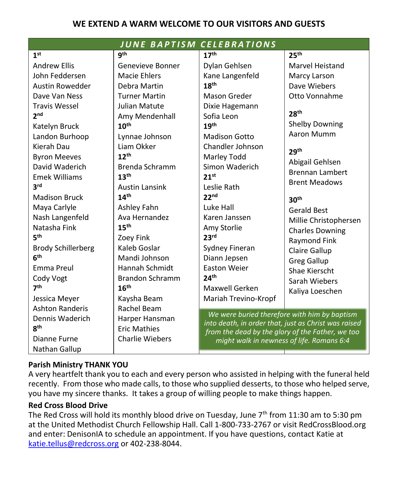#### **WE EXTEND A WARM WELCOME TO OUR VISITORS AND GUESTS**

| <b>JUNE BAPTISM</b><br><b>CELEBRATIONS</b> |                        |                                                      |                        |  |  |  |
|--------------------------------------------|------------------------|------------------------------------------------------|------------------------|--|--|--|
| 1 <sup>st</sup>                            | gth                    | 17 <sup>th</sup>                                     | 25 <sup>th</sup>       |  |  |  |
| <b>Andrew Ellis</b>                        | Genevieve Bonner       | Dylan Gehlsen                                        | Marvel Heistand        |  |  |  |
| John Feddersen                             | <b>Macie Ehlers</b>    | Kane Langenfeld                                      | Marcy Larson           |  |  |  |
| Austin Rowedder                            | Debra Martin           | 18 <sup>th</sup>                                     | Dave Wiebers           |  |  |  |
| Dave Van Ness                              | <b>Turner Martin</b>   | Mason Greder                                         | Otto Vonnahme          |  |  |  |
| <b>Travis Wessel</b>                       | Julian Matute          | Dixie Hagemann                                       |                        |  |  |  |
| 2 <sub>nd</sub>                            | Amy Mendenhall         | Sofia Leon                                           | 28 <sup>th</sup>       |  |  |  |
| Katelyn Bruck                              | 10 <sup>th</sup>       | 19th                                                 | <b>Shelby Downing</b>  |  |  |  |
| Landon Burhoop                             | Lynnae Johnson         | <b>Madison Gotto</b>                                 | Aaron Mumm             |  |  |  |
| Kierah Dau                                 | Liam Okker             | Chandler Johnson                                     | 29 <sup>th</sup>       |  |  |  |
| <b>Byron Meeves</b>                        | 12 <sup>th</sup>       | Marley Todd                                          | Abigail Gehlsen        |  |  |  |
| David Waderich                             | Brenda Schramm         | Simon Waderich                                       | <b>Brennan Lambert</b> |  |  |  |
| <b>Emek Williams</b>                       | 13 <sup>th</sup>       | 21 <sup>st</sup>                                     | <b>Brent Meadows</b>   |  |  |  |
| <b>3rd</b>                                 | <b>Austin Lansink</b>  | Leslie Rath                                          |                        |  |  |  |
| <b>Madison Bruck</b>                       | 14 <sup>th</sup>       | 22 <sup>nd</sup>                                     | 30 <sup>th</sup>       |  |  |  |
| Maya Carlyle                               | Ashley Fahn            | Luke Hall                                            | <b>Gerald Best</b>     |  |  |  |
| Nash Langenfeld                            | Ava Hernandez          | Karen Janssen                                        | Millie Christophersen  |  |  |  |
| Natasha Fink                               | 15 <sup>th</sup>       | Amy Storlie                                          | <b>Charles Downing</b> |  |  |  |
| 5 <sup>th</sup>                            | Zoey Fink              | 23 <sup>rd</sup>                                     | <b>Raymond Fink</b>    |  |  |  |
| <b>Brody Schillerberg</b>                  | Kaleb Goslar           | Sydney Fineran                                       | Claire Gallup          |  |  |  |
| 6 <sup>th</sup>                            | Mandi Johnson          | Diann Jepsen                                         | <b>Greg Gallup</b>     |  |  |  |
| Emma Preul                                 | Hannah Schmidt         | <b>Easton Weier</b>                                  | Shae Kierscht          |  |  |  |
| Cody Vogt                                  | <b>Brandon Schramm</b> | 24 <sup>th</sup>                                     | Sarah Wiebers          |  |  |  |
| 7 <sup>th</sup>                            | 16 <sup>th</sup>       | Maxwell Gerken                                       | Kaliya Loeschen        |  |  |  |
| Jessica Meyer                              | Kaysha Beam            | Mariah Trevino-Kropf                                 |                        |  |  |  |
| <b>Ashton Randeris</b>                     | Rachel Beam            | We were buried therefore with him by baptism         |                        |  |  |  |
| Dennis Waderich                            | Harper Hansman         | into death, in order that, just as Christ was raised |                        |  |  |  |
| 8 <sup>th</sup>                            | <b>Eric Mathies</b>    | from the dead by the glory of the Father, we too     |                        |  |  |  |
| Dianne Furne                               | <b>Charlie Wiebers</b> | might walk in newness of life. Romans 6:4            |                        |  |  |  |
| Nathan Gallup                              |                        |                                                      |                        |  |  |  |

#### **Parish Ministry THANK YOU**

A very heartfelt thank you to each and every person who assisted in helping with the funeral held recently. From those who made calls, to those who supplied desserts, to those who helped serve, you have my sincere thanks. It takes a group of willing people to make things happen.

#### **Red Cross Blood Drive**

The Red Cross will hold its monthly blood drive on Tuesday, June  $7<sup>th</sup>$  from 11:30 am to 5:30 pm at the United Methodist Church Fellowship Hall. Call 1-800-733-2767 or visit RedCrossBlood.org and enter: DenisonIA to schedule an appointment. If you have questions, contact Katie at [katie.tellus@redcross.org](mailto:katie.tellus@redcross.org) or 402-238-8044.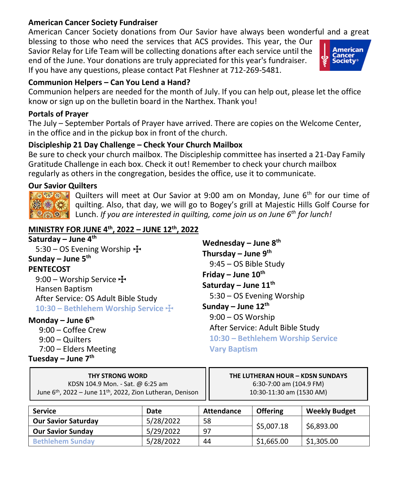#### **American Cancer Society Fundraiser**

American Cancer Society donations from Our Savior have always been wonderful and a great

blessing to those who need the services that ACS provides. This year, the Our Savior Relay for Life Team will be collecting donations after each service until the end of the June. Your donations are truly appreciated for this year's fundraiser. If you have any questions, please contact Pat Fleshner at 712-269-5481.

#### **Communion Helpers – Can You Lend a Hand?**

Communion helpers are needed for the month of July. If you can help out, please let the office know or sign up on the bulletin board in the Narthex. Thank you!

#### **Portals of Prayer**

The July – September Portals of Prayer have arrived. There are copies on the Welcome Center, in the office and in the pickup box in front of the church.

#### **Discipleship 21 Day Challenge – Check Your Church Mailbox**

Be sure to check your church mailbox. The Discipleship committee has inserted a 21-Day Family Gratitude Challenge in each box. Check it out! Remember to check your church mailbox regularly as others in the congregation, besides the office, use it to communicate.

#### **Our Savior Quilters**

**SEAT & TO** ※第4

Quilters will meet at Our Savior at 9:00 am on Monday, June 6<sup>th</sup> for our time of quilting. Also, that day, we will go to Bogey's grill at Majestic Hills Golf Course for Lunch. *If you are interested in quilting, come join us on June 6th for lunch!*

## **MINISTRY FOR JUNE 4th , 2022 – JUNE 12th, 2022**

**Saturday – June 4th** 5:30 – OS Evening Worship  $\pm$ **Sunday – June 5th PENTECOST**

9:00 – Worship Service  $\pm$ Hansen Baptism After Service: OS Adult Bible Study **10:30 – Bethlehem Worship Service**  $\pm$ 

#### **Monday – June 6th**

9:00 – Coffee Crew 9:00 – Quilters 7:00 – Elders Meeting **Tuesday – June 7th**

**Wednesday – June 8 th Thursday – June 9 th** 9:45 – OS Bible Study **Friday – June 10th Saturday – June 11th** 5:30 – OS Evening Worship **Sunday – June 12th** 9:00 – OS Worship After Service: Adult Bible Study **10:30 – Bethlehem Worship Service Vary Baptism**

**THY STRONG WORD** KDSN 104.9 Mon. - Sat. @ 6:25 am June 6<sup>th</sup>, 2022 – June 11<sup>th</sup>, 2022, Zion Lutheran, Denison **THE LUTHERAN HOUR – KDSN SUNDAYS**  6:30-7:00 am (104.9 FM) 10:30-11:30 am (1530 AM)

| <b>Service</b>             | Date      | Attendance | <b>Offering</b>          | <b>Weekly Budget</b> |
|----------------------------|-----------|------------|--------------------------|----------------------|
| <b>Our Savior Saturday</b> | 5/28/2022 | 58         |                          |                      |
| <b>Our Savior Sunday</b>   | 5/29/2022 | 97         | \$5,007.18<br>\$6,893.00 |                      |
| <b>Bethlehem Sunday</b>    | 5/28/2022 | 44         | \$1,665.00               | \$1,305.00           |